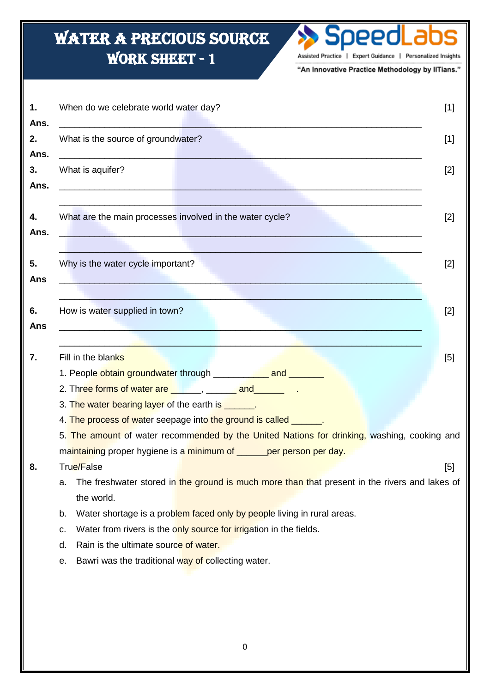## Water a precious source WORK SHEET - 1 Assisted Practice | Expert Guidance | Personalized Insights "An Innovative Practice Methodology by IITians." l **1.** When do we celebrate world water day? [1] **Ans.** \_\_\_\_\_\_\_\_\_\_\_\_\_\_\_\_\_\_\_\_\_\_\_\_\_\_\_\_\_\_\_\_\_\_\_\_\_\_\_\_\_\_\_\_\_\_\_\_\_\_\_\_\_\_\_\_\_\_\_\_\_\_\_\_\_\_\_\_\_\_\_\_ **2.** What is the source of groundwater? **19. In the source of groundwater**  $[1]$ **Ans.** \_\_\_\_\_\_\_\_\_\_\_\_\_\_\_\_\_\_\_\_\_\_\_\_\_\_\_\_\_\_\_\_\_\_\_\_\_\_\_\_\_\_\_\_\_\_\_\_\_\_\_\_\_\_\_\_\_\_\_\_\_\_\_\_\_\_\_\_\_\_\_\_ **3.** What is aquifer? [2] **Ans.** \_\_\_\_\_\_\_\_\_\_\_\_\_\_\_\_\_\_\_\_\_\_\_\_\_\_\_\_\_\_\_\_\_\_\_\_\_\_\_\_\_\_\_\_\_\_\_\_\_\_\_\_\_\_\_\_\_\_\_\_\_\_\_\_\_\_\_\_\_\_\_\_ \_\_\_\_\_\_\_\_\_\_\_\_\_\_\_\_\_\_\_\_\_\_\_\_\_\_\_\_\_\_\_\_\_\_\_\_\_\_\_\_\_\_\_\_\_\_\_\_\_\_\_\_\_\_\_\_\_\_\_\_\_\_\_\_\_\_\_\_\_\_\_\_ **4.** What are the main processes involved in the water cycle? [2] **Ans.** \_\_\_\_\_\_\_\_\_\_\_\_\_\_\_\_\_\_\_\_\_\_\_\_\_\_\_\_\_\_\_\_\_\_\_\_\_\_\_\_\_\_\_\_\_\_\_\_\_\_\_\_\_\_\_\_\_\_\_\_\_\_\_\_\_\_\_\_\_\_\_\_  $\Box$  , and the contribution of the contribution of the contribution of the contribution of the contribution of the contribution of the contribution of the contribution of the contribution of the contribution of the contri **5.** Why is the water cycle important? [2] **Ans** \_\_\_\_\_\_\_\_\_\_\_\_\_\_\_\_\_\_\_\_\_\_\_\_\_\_\_\_\_\_\_\_\_\_\_\_\_\_\_\_\_\_\_\_\_\_\_\_\_\_\_\_\_\_\_\_\_\_\_\_\_\_\_\_\_\_\_\_\_\_\_\_  $\_$  ,  $\_$  ,  $\_$  ,  $\_$  ,  $\_$  ,  $\_$  ,  $\_$  ,  $\_$  ,  $\_$  ,  $\_$  ,  $\_$  ,  $\_$  ,  $\_$  ,  $\_$  ,  $\_$  ,  $\_$  ,  $\_$  ,  $\_$  ,  $\_$  ,  $\_$  ,  $\_$  ,  $\_$  ,  $\_$  ,  $\_$  ,  $\_$  ,  $\_$  ,  $\_$  ,  $\_$  ,  $\_$  ,  $\_$  ,  $\_$  ,  $\_$  ,  $\_$  ,  $\_$  ,  $\_$  ,  $\_$  ,  $\_$  , **6.** How is water supplied in town? **6. https://www.facebook.com/intervalues/intervalues/intervalues/intervalues/intervalues/intervalues/intervalues/intervalues/intervalues/intervalues/intervalues/intervalues/intervalues Ans** \_\_\_\_\_\_\_\_\_\_\_\_\_\_\_\_\_\_\_\_\_\_\_\_\_\_\_\_\_\_\_\_\_\_\_\_\_\_\_\_\_\_\_\_\_\_\_\_\_\_\_\_\_\_\_\_\_\_\_\_\_\_\_\_\_\_\_\_\_\_\_\_ \_\_\_\_\_\_\_\_\_\_\_\_\_\_\_\_\_\_\_\_\_\_\_\_\_\_\_\_\_\_\_\_\_\_\_\_\_\_\_\_\_\_\_\_\_\_\_\_\_\_\_\_\_\_\_\_\_\_\_\_\_\_\_\_\_\_\_\_\_\_\_\_ **7.** Fill in the blanks **in the blanks in the state of the state of the state of the state of the state of the state of the state of the state of the state of the state of the state of the state of the state of the state** 1. People obtain groundwater through \_\_\_\_\_\_\_\_\_\_ and \_\_\_\_\_\_\_ 2. Three forms of water are **Election Accord and Tena** 3. The water bearing layer of the earth is **the water** bearing layer of the earth is 4. The process of water seepage into the ground is called \_\_\_\_\_\_. 5. The amount of water recommended by the United Nations for drinking, washing, cooking and maintaining proper hygiene is a minimum of \_\_\_\_\_\_per person per day. **8.** True/False [5] a. The freshwater stored in the ground is much more than that present in the rivers and lakes of the world. b. Water shortage is a problem faced only by people living in rural areas. c. Water from rivers is the only source for irrigation in the fields. d. Rain is the ultimate source of water. e. Bawri was the traditional way of collecting water.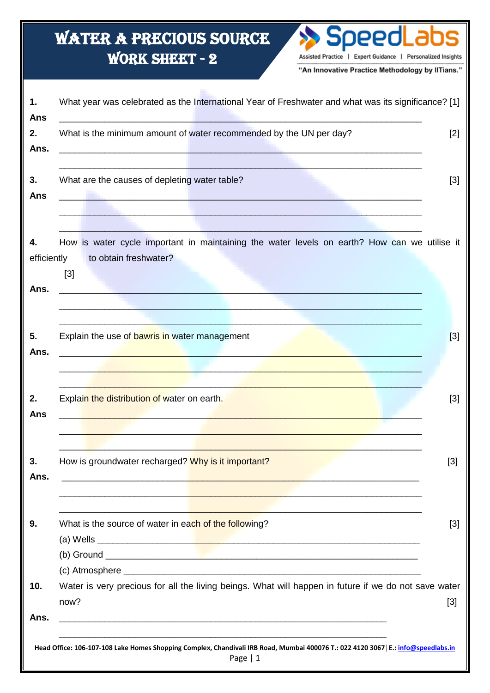## **WATER A PRECIOUS SOURCE WORK SHEET - 2** Assisted Practice | Expert Guidance | Personalized Insights "An Innovative Practice Methodology by IITians." What year was celebrated as the International Year of Freshwater and what was its significance? [1]  $\mathbf{1}$ . **Ans**  $2.$ What is the minimum amount of water recommended by the UN per day?  $[2]$ Ans.  $3.$ What are the causes of depleting water table?  $\lceil 3 \rceil$ Ans 4. How is water cycle important in maintaining the water levels on earth? How can we utilise it efficiently to obtain freshwater?  $[3]$ Ans. 5. Explain the use of bawris in water management  $[3]$ Ans.  $2.$  $[3]$ Explain the distribution of water on earth. **Ans** 3. How is groundwater recharged? Why is it important?  $[3]$ Ans.  $[3]$ 9. What is the source of water in each of the following? (b) Ground (c) Atmosphere \_  $10.$ Water is very precious for all the living beings. What will happen in future if we do not save water  $now?$  $[3]$ Ans. Head Office: 106-107-108 Lake Homes Shopping Complex, Chandivali IRB Road, Mumbai 400076 T.: 022 4120 3067 | E.: info@speedlabs.in

Page  $|1$